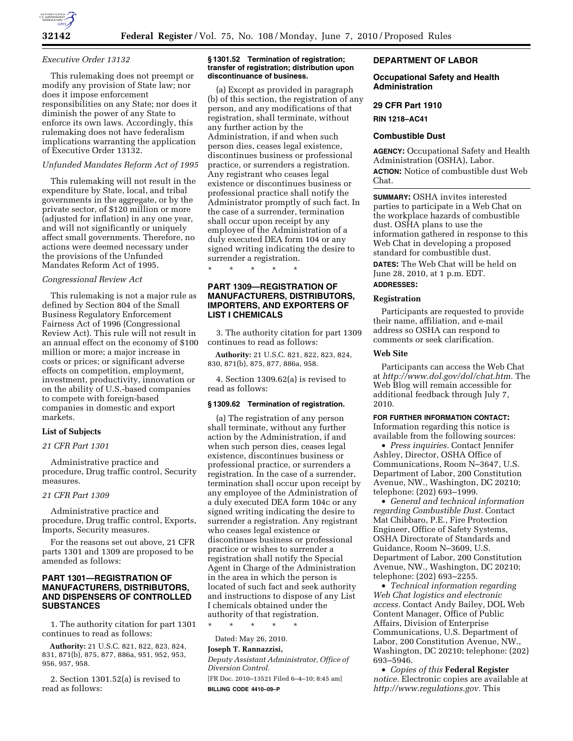

#### *Executive Order 13132*

This rulemaking does not preempt or modify any provision of State law; nor does it impose enforcement responsibilities on any State; nor does it diminish the power of any State to enforce its own laws. Accordingly, this rulemaking does not have federalism implications warranting the application of Executive Order 13132.

### *Unfunded Mandates Reform Act of 1995*

This rulemaking will not result in the expenditure by State, local, and tribal governments in the aggregate, or by the private sector, of \$120 million or more (adjusted for inflation) in any one year, and will not significantly or uniquely affect small governments. Therefore, no actions were deemed necessary under the provisions of the Unfunded Mandates Reform Act of 1995.

#### *Congressional Review Act*

This rulemaking is not a major rule as defined by Section 804 of the Small Business Regulatory Enforcement Fairness Act of 1996 (Congressional Review Act). This rule will not result in an annual effect on the economy of \$100 million or more; a major increase in costs or prices; or significant adverse effects on competition, employment, investment, productivity, innovation or on the ability of U.S.-based companies to compete with foreign-based companies in domestic and export markets.

## **List of Subjects**

#### *21 CFR Part 1301*

Administrative practice and procedure, Drug traffic control, Security measures.

#### *21 CFR Part 1309*

Administrative practice and procedure, Drug traffic control, Exports, Imports, Security measures.

For the reasons set out above, 21 CFR parts 1301 and 1309 are proposed to be amended as follows:

# **PART 1301—REGISTRATION OF MANUFACTURERS, DISTRIBUTORS, AND DISPENSERS OF CONTROLLED SUBSTANCES**

1. The authority citation for part 1301 continues to read as follows:

**Authority:** 21 U.S.C. 821, 822, 823, 824, 831, 871(b), 875, 877, 886a, 951, 952, 953, 956, 957, 958.

2. Section 1301.52(a) is revised to read as follows:

#### **§ 1301.52 Termination of registration; transfer of registration; distribution upon discontinuance of business.**

(a) Except as provided in paragraph (b) of this section, the registration of any person, and any modifications of that registration, shall terminate, without any further action by the Administration, if and when such person dies, ceases legal existence, discontinues business or professional practice, or surrenders a registration. Any registrant who ceases legal existence or discontinues business or professional practice shall notify the Administrator promptly of such fact. In the case of a surrender, termination shall occur upon receipt by any employee of the Administration of a duly executed DEA form 104 or any signed writing indicating the desire to surrender a registration.

\* \* \* \* \*

# **PART 1309—REGISTRATION OF MANUFACTURERS, DISTRIBUTORS, IMPORTERS, AND EXPORTERS OF LIST I CHEMICALS**

3. The authority citation for part 1309 continues to read as follows:

**Authority:** 21 U.S.C. 821, 822, 823, 824, 830, 871(b), 875, 877, 886a, 958.

4. Section 1309.62(a) is revised to read as follows:

#### **§ 1309.62 Termination of registration.**

(a) The registration of any person shall terminate, without any further action by the Administration, if and when such person dies, ceases legal existence, discontinues business or professional practice, or surrenders a registration. In the case of a surrender, termination shall occur upon receipt by any employee of the Administration of a duly executed DEA form 104c or any signed writing indicating the desire to surrender a registration. Any registrant who ceases legal existence or discontinues business or professional practice or wishes to surrender a registration shall notify the Special Agent in Charge of the Administration in the area in which the person is located of such fact and seek authority and instructions to dispose of any List I chemicals obtained under the authority of that registration.

\* \* \* \* \*

Dated: May 26, 2010.

# **Joseph T. Rannazzisi,**

*Deputy Assistant Administrator, Office of Diversion Control.* 

[FR Doc. 2010–13521 Filed 6–4–10; 8:45 am] **BILLING CODE 4410–09–P** 

# **DEPARTMENT OF LABOR**

# **Occupational Safety and Health Administration**

#### **29 CFR Part 1910**

**RIN 1218–AC41** 

#### **Combustible Dust**

**AGENCY:** Occupational Safety and Health Administration (OSHA), Labor. **ACTION:** Notice of combustible dust Web Chat.

**SUMMARY:** OSHA invites interested parties to participate in a Web Chat on the workplace hazards of combustible dust. OSHA plans to use the information gathered in response to this Web Chat in developing a proposed standard for combustible dust. **DATES:** The Web Chat will be held on June 28, 2010, at 1 p.m. EDT. **ADDRESSES:** 

# **Registration**

Participants are requested to provide their name, affiliation, and e-mail address so OSHA can respond to comments or seek clarification.

# **Web Site**

Participants can access the Web Chat at *http://www.dol.gov/dol/chat.htm.* The Web Blog will remain accessible for additional feedback through July 7, 2010.

# **FOR FURTHER INFORMATION CONTACT:**

Information regarding this notice is available from the following sources:

• *Press inquiries.* Contact Jennifer Ashley, Director, OSHA Office of Communications, Room N–3647, U.S. Department of Labor, 200 Constitution Avenue, NW., Washington, DC 20210; telephone: (202) 693–1999.

• *General and technical information regarding Combustible Dust.* Contact Mat Chibbaro, P.E., Fire Protection Engineer, Office of Safety Systems, OSHA Directorate of Standards and Guidance, Room N–3609, U.S. Department of Labor, 200 Constitution Avenue, NW., Washington, DC 20210; telephone: (202) 693–2255.

• *Technical information regarding Web Chat logistics and electronic access.* Contact Andy Bailey, DOL Web Content Manager, Office of Public Affairs, Division of Enterprise Communications, U.S. Department of Labor, 200 Constitution Avenue, NW., Washington, DC 20210; telephone: (202) 693–5946.

• *Copies of this* **Federal Register**  *notice.* Electronic copies are available at *http://www.regulations.gov.* This